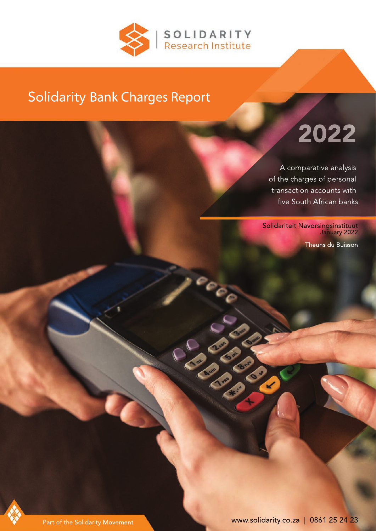

## Solidarity Bank Charges Report

# 2022

A comparative analysis of the charges of personal transaction accounts with five South African banks

Solidariteit Navorsingsinstituut January 2022

Theuns du Buisson



Part of the Solidarity Movement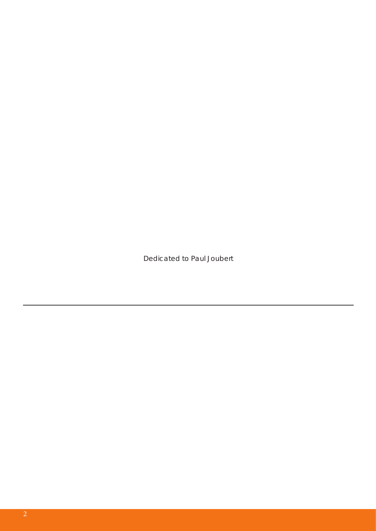*Dedicated to Paul Joubert*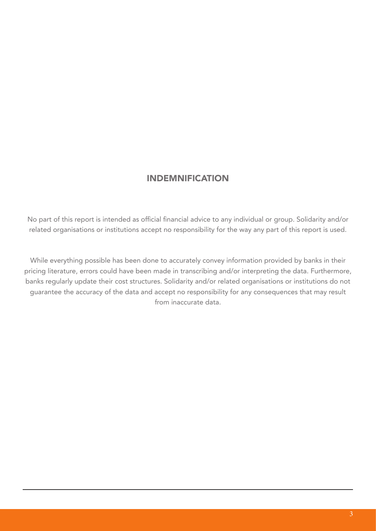#### INDEMNIFICATION

No part of this report is intended as official financial advice to any individual or group. Solidarity and/or related organisations or institutions accept no responsibility for the way any part of this report is used.

While everything possible has been done to accurately convey information provided by banks in their pricing literature, errors could have been made in transcribing and/or interpreting the data. Furthermore, banks regularly update their cost structures. Solidarity and/or related organisations or institutions do not guarantee the accuracy of the data and accept no responsibility for any consequences that may result from inaccurate data.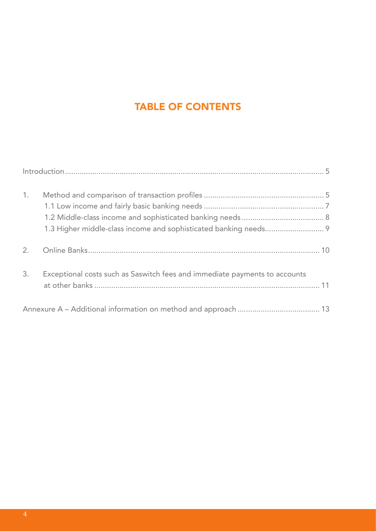## TABLE OF CONTENTS

| 1. |                                                                            |  |
|----|----------------------------------------------------------------------------|--|
| 2. |                                                                            |  |
| 3. | Exceptional costs such as Saswitch fees and immediate payments to accounts |  |
|    |                                                                            |  |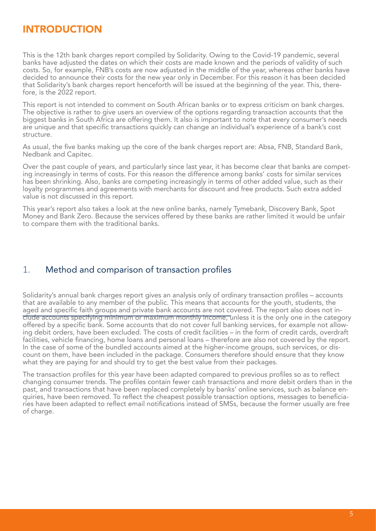### INTRODUCTION

This is the 12th bank charges report compiled by Solidarity. Owing to the Covid-19 pandemic, several banks have adjusted the dates on which their costs are made known and the periods of validity of such costs. So, for example, FNB's costs are now adjusted in the middle of the year, whereas other banks have decided to announce their costs for the new year only in December. For this reason it has been decided that Solidarity's bank charges report henceforth will be issued at the beginning of the year. This, therefore, is the 2022 report.

This report is not intended to comment on South African banks or to express criticism on bank charges. The objective is rather to give users an overview of the options regarding transaction accounts that the biggest banks in South Africa are offering them. It also is important to note that every consumer's needs are unique and that specific transactions quickly can change an individual's experience of a bank's cost structure.

As usual, the five banks making up the core of the bank charges report are: Absa, FNB, Standard Bank, Nedbank and Capitec.

Over the past couple of years, and particularly since last year, it has become clear that banks are competing increasingly in terms of costs. For this reason the difference among banks' costs for similar services has been shrinking. Also, banks are competing increasingly in terms of other added value, such as their loyalty programmes and agreements with merchants for discount and free products. Such extra added value is not discussed in this report.

This year's report also takes a look at the new online banks, namely Tymebank, Discovery Bank, Spot Money and Bank Zero. Because the services offered by these banks are rather limited it would be unfair to compare them with the traditional banks.

#### 1. Method and comparison of transaction profiles

Solidarity's annual bank charges report gives an analysis only of ordinary transaction profiles – accounts that are available to any member of the public. This means that accounts for the youth, students, the aged and specific faith groups and private bank accounts are not covered. The report also does not include accounts specifying minimum or maximum monthly income, unless it is the only one in the category offered by a specific bank. Some accounts that do not cover full banking services, for example not allowing debit orders, have been excluded. The costs of credit facilities – in the form of credit cards, overdraft facilities, vehicle financing, home loans and personal loans – therefore are also not covered by the report. In the case of some of the bundled accounts aimed at the higher-income groups, such services, or discount on them, have been included in the package. Consumers therefore should ensure that they know what they are paying for and should try to get the best value from their packages.

The transaction profiles for this year have been adapted compared to previous profiles so as to reflect changing consumer trends. The profiles contain fewer cash transactions and more debit orders than in the past, and transactions that have been replaced completely by banks' online services, such as balance enquiries, have been removed. To reflect the cheapest possible transaction options, messages to beneficiaries have been adapted to reflect email notifications instead of SMSs, because the former usually are free of charge.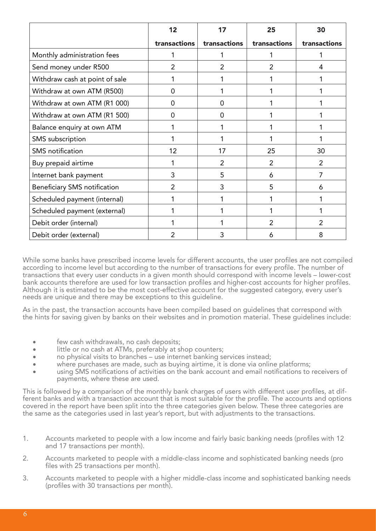|                                     | 12             | 17             | 25             | 30             |
|-------------------------------------|----------------|----------------|----------------|----------------|
|                                     | transactions   | transactions   | transactions   | transactions   |
| Monthly administration fees         |                |                |                |                |
| Send money under R500               | $\overline{2}$ | $\overline{2}$ | $\overline{2}$ | 4              |
| Withdraw cash at point of sale      |                |                |                |                |
| Withdraw at own ATM (R500)          | $\Omega$       |                |                |                |
| Withdraw at own ATM (R1 000)        | 0              | $\Omega$       |                |                |
| Withdraw at own ATM (R1 500)        | $\Omega$       | $\Omega$       |                |                |
| Balance enquiry at own ATM          |                |                |                |                |
| SMS subscription                    |                |                |                |                |
| <b>SMS</b> notification             | 12             | 17             | 25             | 30             |
| Buy prepaid airtime                 |                | $\overline{2}$ | $\overline{2}$ | 2              |
| Internet bank payment               | 3              | 5              | 6              | $\overline{7}$ |
| <b>Beneficiary SMS notification</b> | $\overline{2}$ | 3              | 5              | 6              |
| Scheduled payment (internal)        |                |                |                | 1              |
| Scheduled payment (external)        |                |                |                | 1              |
| Debit order (internal)              |                |                | $\overline{2}$ | $\overline{2}$ |
| Debit order (external)              | $\overline{2}$ | 3              | 6              | 8              |

While some banks have prescribed income levels for different accounts, the user profiles are not compiled according to income level but according to the number of transactions for every profile. The number of transactions that every user conducts in a given month should correspond with income levels – lower-cost bank accounts therefore are used for low transaction profiles and higher-cost accounts for higher profiles. Although it is estimated to be the most cost-effective account for the suggested category, every user's needs are unique and there may be exceptions to this guideline.

As in the past, the transaction accounts have been compiled based on guidelines that correspond with the hints for saving given by banks on their websites and in promotion material. These guidelines include:

- few cash withdrawals, no cash deposits;
- little or no cash at ATMs, preferably at shop counters;
- no physical visits to branches use internet banking services instead;
- where purchases are made, such as buying airtime, it is done via online platforms;
- using SMS notifications of activities on the bank account and email notifications to receivers of payments, where these are used.

This is followed by a comparison of the monthly bank charges of users with different user profiles, at different banks and with a transaction account that is most suitable for the profile. The accounts and options covered in the report have been split into the three categories given below. These three categories are the same as the categories used in last year's report, but with adjustments to the transactions.

- 1. Accounts marketed to people with a low income and fairly basic banking needs (profiles with 12 and 17 transactions per month).
- 2. Accounts marketed to people with a middle-class income and sophisticated banking needs (pro files with 25 transactions per month).
- 3. Accounts marketed to people with a higher middle-class income and sophisticated banking needs (profiles with 30 transactions per month).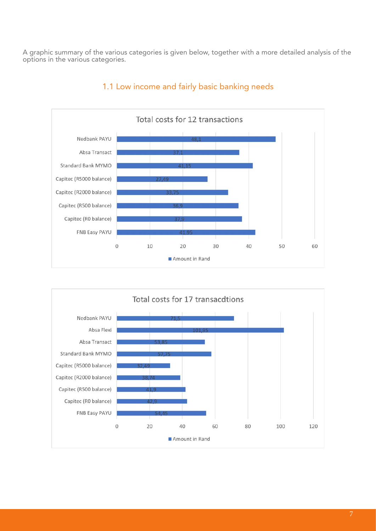A graphic summary of the various categories is given below, together with a more detailed analysis of the options in the various categories.



#### 1.1 Low income and fairly basic banking needs

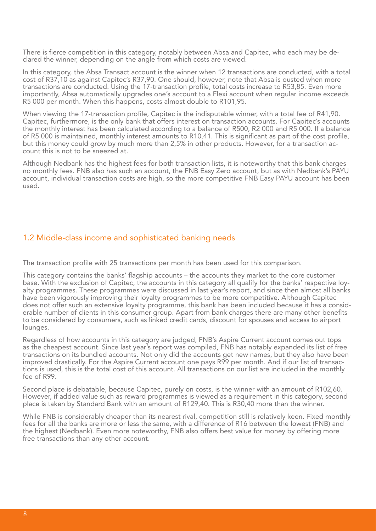There is fierce competition in this category, notably between Absa and Capitec, who each may be declared the winner, depending on the angle from which costs are viewed.

In this category, the Absa Transact account is the winner when 12 transactions are conducted, with a total cost of R37,10 as against Capitec's R37,90. One should, however, note that Absa is ousted when more transactions are conducted. Using the 17-transaction profile, total costs increase to R53,85. Even more importantly, Absa automatically upgrades one's account to a Flexi account when regular income exceeds R5 000 per month. When this happens, costs almost double to R101,95.

When viewing the 17-transaction profile, Capitec is the indisputable winner, with a total fee of R41,90. Capitec, furthermore, is the only bank that offers interest on transaction accounts. For Capitec's accounts the monthly interest has been calculated according to a balance of R500, R2 000 and R5 000. If a balance of R5 000 is maintained, monthly interest amounts to R10,41. This is significant as part of the cost profile, but this money could grow by much more than 2,5% in other products. However, for a transaction account this is not to be sneezed at.

Although Nedbank has the highest fees for both transaction lists, it is noteworthy that this bank charges no monthly fees. FNB also has such an account, the FNB Easy Zero account, but as with Nedbank's PAYU account, individual transaction costs are high, so the more competitive FNB Easy PAYU account has been used.

#### 1.2 Middle-class income and sophisticated banking needs

The transaction profile with 25 transactions per month has been used for this comparison.

This category contains the banks' flagship accounts – the accounts they market to the core customer base. With the exclusion of Capitec, the accounts in this category all qualify for the banks' respective loyalty programmes. These programmes were discussed in last year's report, and since then almost all banks have been vigorously improving their loyalty programmes to be more competitive. Although Capitec does not offer such an extensive loyalty programme, this bank has been included because it has a considerable number of clients in this consumer group. Apart from bank charges there are many other benefits to be considered by consumers, such as linked credit cards, discount for spouses and access to airport lounges.

Regardless of how accounts in this category are judged, FNB's Aspire Current account comes out tops as the cheapest account. Since last year's report was compiled, FNB has notably expanded its list of free transactions on its bundled accounts. Not only did the accounts get new names, but they also have been improved drastically. For the Aspire Current account one pays R99 per month. And if our list of transactions is used, this is the total cost of this account. All transactions on our list are included in the monthly fee of R99.

Second place is debatable, because Capitec, purely on costs, is the winner with an amount of R102,60. However, if added value such as reward programmes is viewed as a requirement in this category, second place is taken by Standard Bank with an amount of R129,40. This is R30,40 more than the winner.

While FNB is considerably cheaper than its nearest rival, competition still is relatively keen. Fixed monthly fees for all the banks are more or less the same, with a difference of R16 between the lowest (FNB) and the highest (Nedbank). Even more noteworthy, FNB also offers best value for money by offering more free transactions than any other account.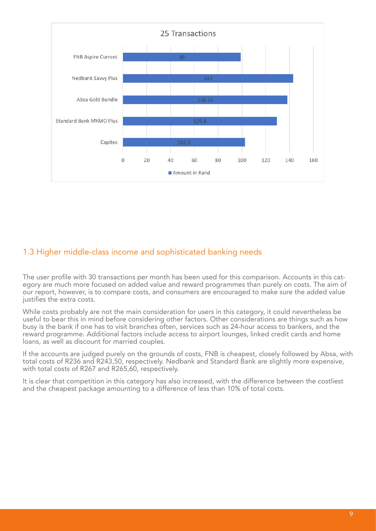

#### 1.3 Higher middle-class income and sophisticated banking needs

The user profile with 30 transactions per month has been used for this comparison. Accounts in this category are much more focused on added value and reward programmes than purely on costs. The aim of our report, however, is to compare costs, and consumers are encouraged to make sure the added value justifies the extra costs.

While costs probably are not the main consideration for users in this category, it could nevertheless be useful to bear this in mind before considering other factors. Other considerations are things such as how busy is the bank if one has to visit branches often, services such as 24-hour access to bankers, and the reward programme. Additional factors include access to airport lounges, linked credit cards and home loans, as well as discount for married couples.

If the accounts are judged purely on the grounds of costs, FNB is cheapest, closely followed by Absa, with total costs of R236 and R243,50, respectively. Nedbank and Standard Bank are slightly more expensive, with total costs of R267 and R265,60, respectively.

It is clear that competition in this category has also increased, with the difference between the costliest and the cheapest package amounting to a difference of less than 10% of total costs.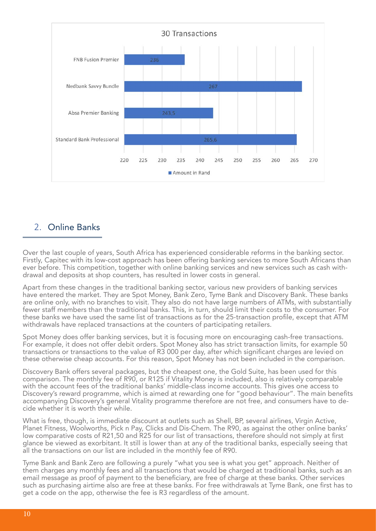

#### 2. Online Banks

Over the last couple of years, South Africa has experienced considerable reforms in the banking sector. Firstly, Capitec with its low-cost approach has been offering banking services to more South Africans than ever before. This competition, together with online banking services and new services such as cash withdrawal and deposits at shop counters, has resulted in lower costs in general.

Apart from these changes in the traditional banking sector, various new providers of banking services have entered the market. They are Spot Money, Bank Zero, Tyme Bank and Discovery Bank. These banks are online only, with no branches to visit. They also do not have large numbers of ATMs, with substantially fewer staff members than the traditional banks. This, in turn, should limit their costs to the consumer. For these banks we have used the same list of transactions as for the 25-transaction profile, except that ATM withdrawals have replaced transactions at the counters of participating retailers.

Spot Money does offer banking services, but it is focusing more on encouraging cash-free transactions. For example, it does not offer debit orders. Spot Money also has strict transaction limits, for example 50 transactions or transactions to the value of R3 000 per day, after which significant charges are levied on these otherwise cheap accounts. For this reason, Spot Money has not been included in the comparison.

Discovery Bank offers several packages, but the cheapest one, the Gold Suite, has been used for this comparison. The monthly fee of R90, or R125 if Vitality Money is included, also is relatively comparable with the account fees of the traditional banks' middle-class income accounts. This gives one access to Discovery's reward programme, which is aimed at rewarding one for "good behaviour". The main benefits accompanying Discovery's general Vitality programme therefore are not free, and consumers have to decide whether it is worth their while.

What is free, though, is immediate discount at outlets such as Shell, BP, several airlines, Virgin Active, Planet Fitness, Woolworths, Pick n Pay, Clicks and Dis-Chem. The R90, as against the other online banks' low comparative costs of R21,50 and R25 for our list of transactions, therefore should not simply at first glance be viewed as exorbitant. It still is lower than at any of the traditional banks, especially seeing that all the transactions on our list are included in the monthly fee of R90.

Tyme Bank and Bank Zero are following a purely "what you see is what you get" approach. Neither of them charges any monthly fees and all transactions that would be charged at traditional banks, such as an email message as proof of payment to the beneficiary, are free of charge at these banks. Other services such as purchasing airtime also are free at these banks. For free withdrawals at Tyme Bank, one first has to get a code on the app, otherwise the fee is R3 regardless of the amount.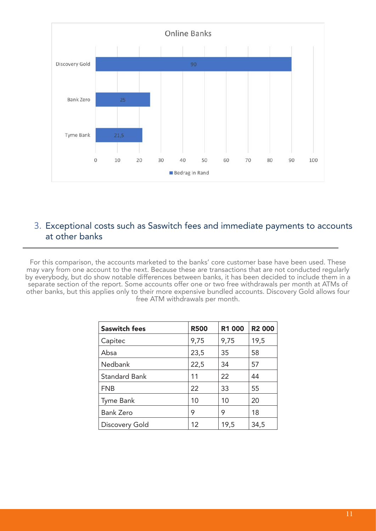

#### 3. Exceptional costs such as Saswitch fees and immediate payments to accounts at other banks

For this comparison, the accounts marketed to the banks' core customer base have been used. These may vary from one account to the next. Because these are transactions that are not conducted regularly by everybody, but do show notable differences between banks, it has been decided to include them in a separate section of the report. Some accounts offer one or two free withdrawals per month at ATMs of other banks, but this applies only to their more expensive bundled accounts. Discovery Gold allows four free ATM withdrawals per month.

| <b>Saswitch fees</b> | <b>R500</b> | <b>R1 000</b> | <b>R2 000</b> |
|----------------------|-------------|---------------|---------------|
| Capitec              | 9,75        | 9,75          | 19,5          |
| Absa                 | 23,5        | 35            | 58            |
| Nedbank              | 22,5        | 34            | 57            |
| <b>Standard Bank</b> | 11          | 22            | 44            |
| <b>FNB</b>           | 22          | 33            | 55            |
| Tyme Bank            | 10          | 10            | 20            |
| <b>Bank Zero</b>     | 9           | 9             | 18            |
| Discovery Gold       | 12          | 19,5          | 34,5          |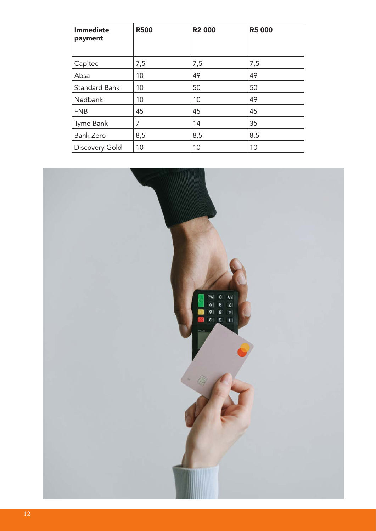| <b>Immediate</b><br>payment | <b>R500</b> | <b>R2 000</b> | <b>R5 000</b> |
|-----------------------------|-------------|---------------|---------------|
| Capitec                     | 7,5         | 7,5           | 7,5           |
| Absa                        | 10          | 49            | 49            |
| <b>Standard Bank</b>        | 10          | 50            | 50            |
| Nedbank                     | 10          | 10            | 49            |
| <b>FNB</b>                  | 45          | 45            | 45            |
| Tyme Bank                   | 7           | 14            | 35            |
| <b>Bank Zero</b>            | 8,5         | 8,5           | 8,5           |
| Discovery Gold              | 10          | 10            | 10            |